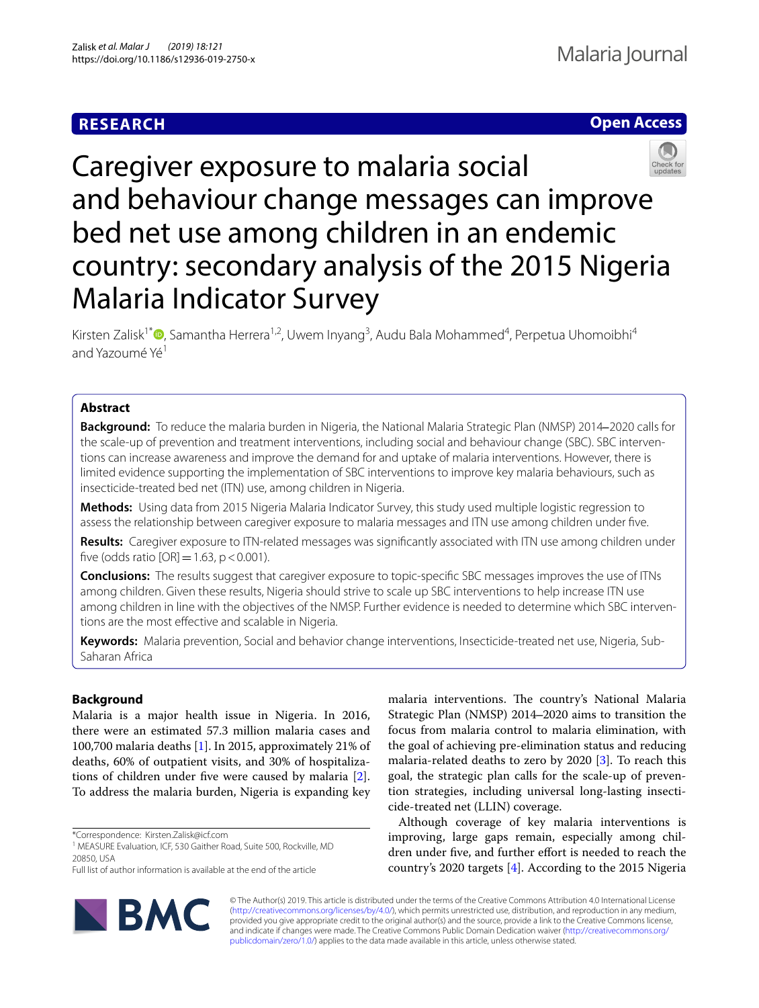# **RESEARCH**

# **Open Access**



Caregiver exposure to malaria social and behaviour change messages can improve bed net use among children in an endemic country: secondary analysis of the 2015 Nigeria Malaria Indicator Survey

Kirsten Zalisk<sup>1[\\*](http://orcid.org/0000-0003-4448-6017)</sup> <sup>®</sup>, Samantha Herrera<sup>1,2</sup>, Uwem Inyang<sup>3</sup>, Audu Bala Mohammed<sup>4</sup>, Perpetua Uhomoibhi<sup>4</sup> and Yazoumé Yé<sup>1</sup>

# **Abstract**

**Background:** To reduce the malaria burden in Nigeria, the National Malaria Strategic Plan (NMSP) 2014‒2020 calls for the scale-up of prevention and treatment interventions, including social and behaviour change (SBC). SBC interventions can increase awareness and improve the demand for and uptake of malaria interventions. However, there is limited evidence supporting the implementation of SBC interventions to improve key malaria behaviours, such as insecticide-treated bed net (ITN) use, among children in Nigeria.

**Methods:** Using data from 2015 Nigeria Malaria Indicator Survey, this study used multiple logistic regression to assess the relationship between caregiver exposure to malaria messages and ITN use among children under fve.

**Results:** Caregiver exposure to ITN-related messages was signifcantly associated with ITN use among children under five (odds ratio  $[OR] = 1.63$ , p < 0.001).

**Conclusions:** The results suggest that caregiver exposure to topic-specifc SBC messages improves the use of ITNs among children. Given these results, Nigeria should strive to scale up SBC interventions to help increase ITN use among children in line with the objectives of the NMSP. Further evidence is needed to determine which SBC interventions are the most efective and scalable in Nigeria.

**Keywords:** Malaria prevention, Social and behavior change interventions, Insecticide-treated net use, Nigeria, Sub-Saharan Africa

# **Background**

Malaria is a major health issue in Nigeria. In 2016, there were an estimated 57.3 million malaria cases and 100,700 malaria deaths [\[1](#page-4-0)]. In 2015, approximately 21% of deaths, 60% of outpatient visits, and 30% of hospitalizations of children under fve were caused by malaria [\[2](#page-4-1)]. To address the malaria burden, Nigeria is expanding key

\*Correspondence: Kirsten.Zalisk@icf.com

Full list of author information is available at the end of the article



malaria interventions. The country's National Malaria Strategic Plan (NMSP) 2014‒2020 aims to transition the focus from malaria control to malaria elimination, with the goal of achieving pre-elimination status and reducing malaria-related deaths to zero by 2020  $[3]$  $[3]$ . To reach this goal, the strategic plan calls for the scale-up of prevention strategies, including universal long-lasting insecticide-treated net (LLIN) coverage.

Although coverage of key malaria interventions is improving, large gaps remain, especially among children under five, and further effort is needed to reach the country's 2020 targets [[4\]](#page-4-3). According to the 2015 Nigeria

© The Author(s) 2019. This article is distributed under the terms of the Creative Commons Attribution 4.0 International License [\(http://creativecommons.org/licenses/by/4.0/\)](http://creativecommons.org/licenses/by/4.0/), which permits unrestricted use, distribution, and reproduction in any medium, provided you give appropriate credit to the original author(s) and the source, provide a link to the Creative Commons license, and indicate if changes were made. The Creative Commons Public Domain Dedication waiver ([http://creativecommons.org/](http://creativecommons.org/publicdomain/zero/1.0/) [publicdomain/zero/1.0/](http://creativecommons.org/publicdomain/zero/1.0/)) applies to the data made available in this article, unless otherwise stated.

<sup>&</sup>lt;sup>1</sup> MEASURE Evaluation, ICF, 530 Gaither Road, Suite 500, Rockville, MD 20850, USA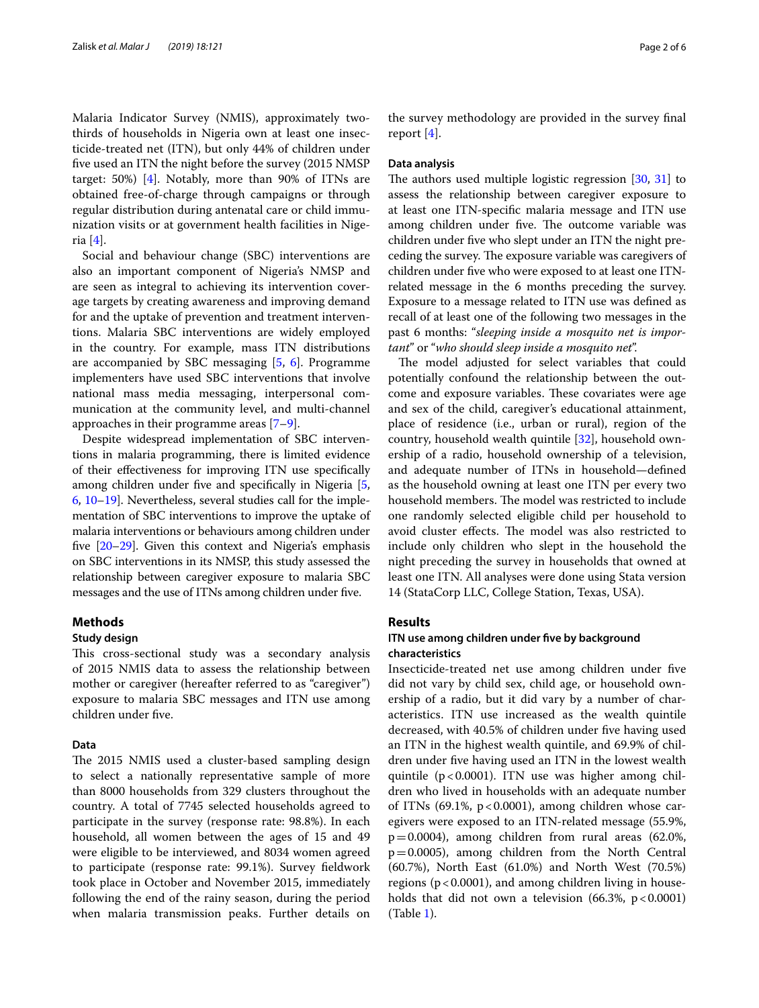Malaria Indicator Survey (NMIS), approximately twothirds of households in Nigeria own at least one insecticide-treated net (ITN), but only 44% of children under fve used an ITN the night before the survey (2015 NMSP target: 50%) [\[4](#page-4-3)]. Notably, more than 90% of ITNs are obtained free-of-charge through campaigns or through regular distribution during antenatal care or child immunization visits or at government health facilities in Nigeria [\[4](#page-4-3)].

Social and behaviour change (SBC) interventions are also an important component of Nigeria's NMSP and are seen as integral to achieving its intervention coverage targets by creating awareness and improving demand for and the uptake of prevention and treatment interventions. Malaria SBC interventions are widely employed in the country. For example, mass ITN distributions are accompanied by SBC messaging [[5,](#page-4-4) [6\]](#page-4-5). Programme implementers have used SBC interventions that involve national mass media messaging, interpersonal communication at the community level, and multi-channel approaches in their programme areas [\[7](#page-4-6)[–9](#page-4-7)].

Despite widespread implementation of SBC interventions in malaria programming, there is limited evidence of their efectiveness for improving ITN use specifcally among children under fve and specifcally in Nigeria [\[5](#page-4-4), [6,](#page-4-5) [10](#page-4-8)[–19\]](#page-5-0). Nevertheless, several studies call for the implementation of SBC interventions to improve the uptake of malaria interventions or behaviours among children under five [\[20](#page-5-1)–[29\]](#page-5-2). Given this context and Nigeria's emphasis on SBC interventions in its NMSP, this study assessed the relationship between caregiver exposure to malaria SBC messages and the use of ITNs among children under fve.

# **Methods**

### **Study design**

This cross-sectional study was a secondary analysis of 2015 NMIS data to assess the relationship between mother or caregiver (hereafter referred to as "caregiver") exposure to malaria SBC messages and ITN use among children under fve.

# **Data**

The 2015 NMIS used a cluster-based sampling design to select a nationally representative sample of more than 8000 households from 329 clusters throughout the country. A total of 7745 selected households agreed to participate in the survey (response rate: 98.8%). In each household, all women between the ages of 15 and 49 were eligible to be interviewed, and 8034 women agreed to participate (response rate: 99.1%). Survey feldwork took place in October and November 2015, immediately following the end of the rainy season, during the period when malaria transmission peaks. Further details on the survey methodology are provided in the survey fnal report [\[4](#page-4-3)].

### **Data analysis**

The authors used multiple logistic regression  $[30, 31]$  $[30, 31]$  $[30, 31]$  to assess the relationship between caregiver exposure to at least one ITN-specifc malaria message and ITN use among children under five. The outcome variable was children under fve who slept under an ITN the night preceding the survey. The exposure variable was caregivers of children under fve who were exposed to at least one ITNrelated message in the 6 months preceding the survey. Exposure to a message related to ITN use was defned as recall of at least one of the following two messages in the past 6 months: "*sleeping inside a mosquito net is important*" or "*who should sleep inside a mosquito net*".

The model adjusted for select variables that could potentially confound the relationship between the outcome and exposure variables. These covariates were age and sex of the child, caregiver's educational attainment, place of residence (i.e., urban or rural), region of the country, household wealth quintile [[32\]](#page-5-5), household ownership of a radio, household ownership of a television, and adequate number of ITNs in household—defned as the household owning at least one ITN per every two household members. The model was restricted to include one randomly selected eligible child per household to avoid cluster effects. The model was also restricted to include only children who slept in the household the night preceding the survey in households that owned at least one ITN. All analyses were done using Stata version 14 (StataCorp LLC, College Station, Texas, USA).

# **Results**

# **ITN use among children under fve by background characteristics**

Insecticide-treated net use among children under fve did not vary by child sex, child age, or household ownership of a radio, but it did vary by a number of characteristics. ITN use increased as the wealth quintile decreased, with 40.5% of children under five having used an ITN in the highest wealth quintile, and 69.9% of children under fve having used an ITN in the lowest wealth quintile  $(p<0.0001)$ . ITN use was higher among children who lived in households with an adequate number of ITNs  $(69.1\% , p < 0.0001)$ , among children whose caregivers were exposed to an ITN-related message (55.9%,  $p=0.0004$ ), among children from rural areas (62.0%, p=0.0005), among children from the North Central (60.7%), North East (61.0%) and North West (70.5%) regions ( $p < 0.0001$ ), and among children living in households that did not own a television  $(66.3\% , p < 0.0001)$ (Table [1\)](#page-2-0).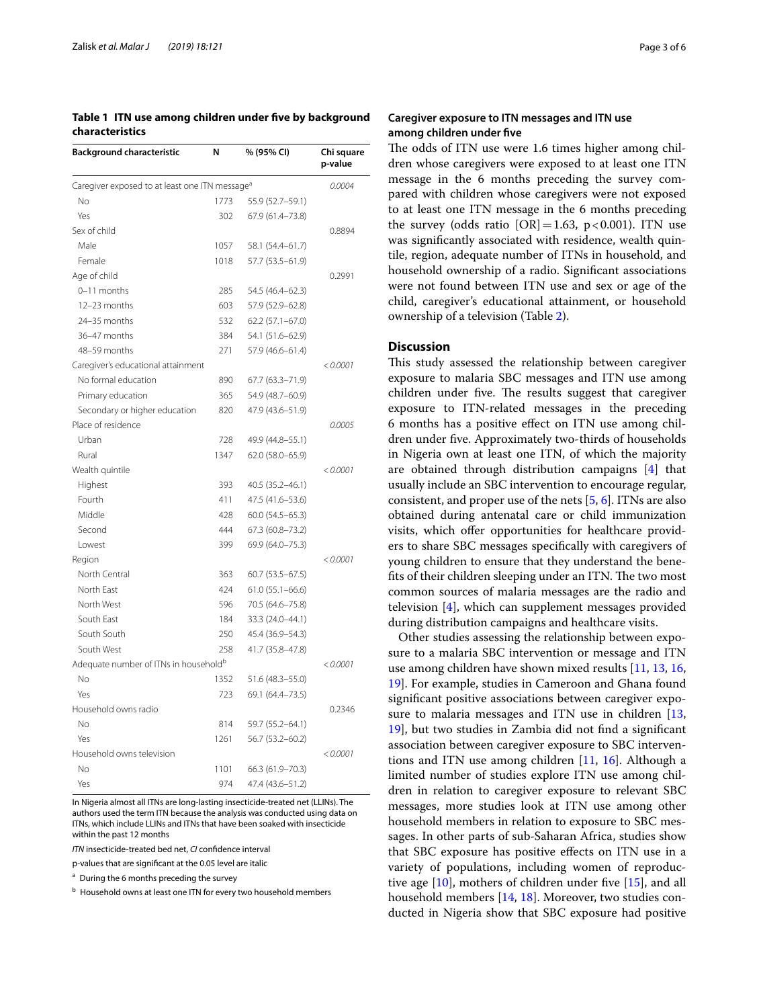<span id="page-2-0"></span>**Table 1 ITN use among children under fve by background characteristics**

| <b>Background characteristic</b>                           | N        | % (95% CI)          | Chi square<br>p-value |
|------------------------------------------------------------|----------|---------------------|-----------------------|
| Caregiver exposed to at least one ITN message <sup>a</sup> | 0.0004   |                     |                       |
| Nο                                                         | 1773     | 55.9 (52.7-59.1)    |                       |
| Yes                                                        | 302      | 67.9 (61.4-73.8)    |                       |
| Sex of child                                               |          |                     | 0.8894                |
| Male                                                       | 1057     | 58.1 (54.4-61.7)    |                       |
| Female                                                     | 1018     | 57.7 (53.5-61.9)    |                       |
| Age of child                                               |          |                     | 0.2991                |
| 0-11 months                                                | 285      | 54.5 (46.4-62.3)    |                       |
| 12-23 months                                               | 603      | 57.9 (52.9-62.8)    |                       |
| 24-35 months                                               | 532      | $62.2(57.1 - 67.0)$ |                       |
| 36-47 months                                               | 384      | 54.1 (51.6-62.9)    |                       |
| 48-59 months                                               | 271      | 57.9 (46.6-61.4)    |                       |
| Caregiver's educational attainment                         |          |                     | < 0.0001              |
| No formal education                                        | 890      | 67.7 (63.3-71.9)    |                       |
| Primary education                                          | 365      | 54.9 (48.7-60.9)    |                       |
| Secondary or higher education                              | 820      | 47.9 (43.6-51.9)    |                       |
| Place of residence                                         |          |                     | 0.0005                |
| Urban                                                      | 728      | 49.9 (44.8-55.1)    |                       |
| Rural                                                      | 1347     | 62.0 (58.0-65.9)    |                       |
| Wealth quintile                                            |          |                     | < 0.0001              |
| Highest                                                    | 393      | 40.5 (35.2-46.1)    |                       |
| Fourth                                                     | 411      | 47.5 (41.6-53.6)    |                       |
| Middle                                                     | 428      | $60.0(54.5 - 65.3)$ |                       |
| Second                                                     | 444      | 67.3 (60.8-73.2)    |                       |
| Lowest                                                     | 399      | 69.9 (64.0-75.3)    |                       |
| Region                                                     |          |                     | < 0.0001              |
| North Central                                              | 363      | $60.7(53.5 - 67.5)$ |                       |
| North East                                                 | 424      | $61.0(55.1 - 66.6)$ |                       |
| North West                                                 | 596      | 70.5 (64.6-75.8)    |                       |
| South East                                                 | 184      | 33.3 (24.0-44.1)    |                       |
| South South                                                | 250      | 45.4 (36.9-54.3)    |                       |
| South West                                                 | 258      | 41.7 (35.8-47.8)    |                       |
| Adequate number of ITNs in household <sup>b</sup>          | < 0.0001 |                     |                       |
| No                                                         | 1352     | 51.6 (48.3-55.0)    |                       |
| Yes                                                        | 723      | 69.1 (64.4-73.5)    |                       |
| Household owns radio                                       |          |                     | 0.2346                |
| No                                                         | 814      | 59.7 (55.2-64.1)    |                       |
| Yes                                                        | 1261     | 56.7 (53.2-60.2)    |                       |
| Household owns television                                  |          |                     | < 0.0001              |
| No                                                         | 1101     | 66.3 (61.9-70.3)    |                       |
| Yes                                                        | 974      | 47.4 (43.6-51.2)    |                       |

In Nigeria almost all ITNs are long-lasting insecticide-treated net (LLINs). The authors used the term ITN because the analysis was conducted using data on ITNs, which include LLINs and ITNs that have been soaked with insecticide within the past 12 months

*ITN* insecticide-treated bed net, *CI* confdence interval

p-values that are signifcant at the 0.05 level are italic

<sup>a</sup> During the 6 months preceding the survey

b Household owns at least one ITN for every two household members

# **Caregiver exposure to ITN messages and ITN use among children under fve**

The odds of ITN use were 1.6 times higher among children whose caregivers were exposed to at least one ITN message in the 6 months preceding the survey compared with children whose caregivers were not exposed to at least one ITN message in the 6 months preceding the survey (odds ratio  $[OR] = 1.63$ , p<0.001). ITN use was signifcantly associated with residence, wealth quintile, region, adequate number of ITNs in household, and household ownership of a radio. Signifcant associations were not found between ITN use and sex or age of the child, caregiver's educational attainment, or household ownership of a television (Table [2](#page-3-0)).

## **Discussion**

This study assessed the relationship between caregiver exposure to malaria SBC messages and ITN use among children under five. The results suggest that caregiver exposure to ITN-related messages in the preceding 6 months has a positive efect on ITN use among children under fve. Approximately two-thirds of households in Nigeria own at least one ITN, of which the majority are obtained through distribution campaigns [[4\]](#page-4-3) that usually include an SBC intervention to encourage regular, consistent, and proper use of the nets [\[5](#page-4-4), [6\]](#page-4-5). ITNs are also obtained during antenatal care or child immunization visits, which offer opportunities for healthcare providers to share SBC messages specifcally with caregivers of young children to ensure that they understand the benefits of their children sleeping under an ITN. The two most common sources of malaria messages are the radio and television [\[4](#page-4-3)], which can supplement messages provided during distribution campaigns and healthcare visits.

Other studies assessing the relationship between exposure to a malaria SBC intervention or message and ITN use among children have shown mixed results [[11,](#page-4-9) [13,](#page-4-10) [16](#page-5-6), [19\]](#page-5-0). For example, studies in Cameroon and Ghana found signifcant positive associations between caregiver exposure to malaria messages and ITN use in children [[13](#page-4-10), [19\]](#page-5-0), but two studies in Zambia did not fnd a signifcant association between caregiver exposure to SBC interventions and ITN use among children [\[11](#page-4-9), [16\]](#page-5-6). Although a limited number of studies explore ITN use among children in relation to caregiver exposure to relevant SBC messages, more studies look at ITN use among other household members in relation to exposure to SBC messages. In other parts of sub-Saharan Africa, studies show that SBC exposure has positive efects on ITN use in a variety of populations, including women of reproductive age  $[10]$  $[10]$ , mothers of children under five  $[15]$  $[15]$ , and all household members [[14,](#page-4-11) [18](#page-5-8)]. Moreover, two studies conducted in Nigeria show that SBC exposure had positive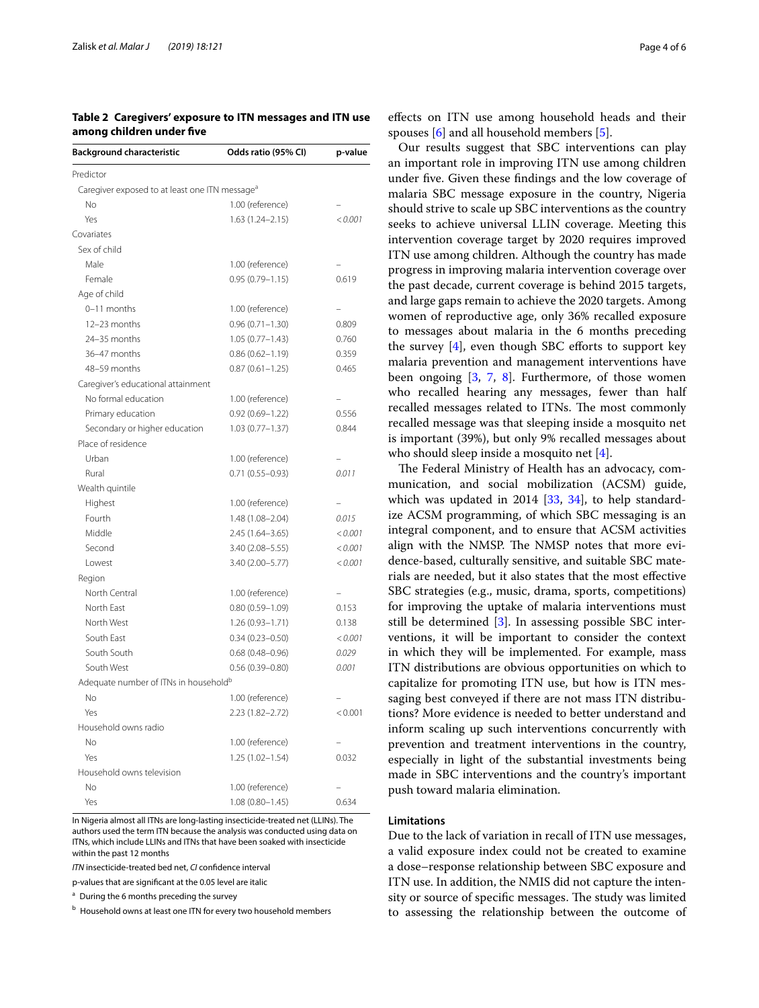<span id="page-3-0"></span>**Table 2 Caregivers' exposure to ITN messages and ITN use among children under fve**

| <b>Background characteristic</b>                           | Odds ratio (95% CI) | p-value |
|------------------------------------------------------------|---------------------|---------|
| Predictor                                                  |                     |         |
| Caregiver exposed to at least one ITN message <sup>a</sup> |                     |         |
| No                                                         | 1.00 (reference)    |         |
| Yes                                                        | $1.63(1.24 - 2.15)$ | < 0.001 |
| Covariates                                                 |                     |         |
| Sex of child                                               |                     |         |
| Male                                                       | 1.00 (reference)    |         |
| Female                                                     | $0.95(0.79 - 1.15)$ | 0.619   |
| Age of child                                               |                     |         |
| 0-11 months                                                | 1.00 (reference)    |         |
| 12-23 months                                               | $0.96(0.71 - 1.30)$ | 0.809   |
| 24-35 months                                               | $1.05(0.77 - 1.43)$ | 0.760   |
| 36-47 months                                               | $0.86(0.62 - 1.19)$ | 0.359   |
| 48-59 months                                               | $0.87(0.61 - 1.25)$ | 0.465   |
| Caregiver's educational attainment                         |                     |         |
| No formal education                                        | 1.00 (reference)    |         |
| Primary education                                          | $0.92(0.69 - 1.22)$ | 0.556   |
| Secondary or higher education                              | $1.03(0.77 - 1.37)$ | 0.844   |
| Place of residence                                         |                     |         |
| Urban                                                      | 1.00 (reference)    |         |
| Rural                                                      | $0.71(0.55 - 0.93)$ | 0.011   |
| Wealth quintile                                            |                     |         |
| Highest                                                    | 1.00 (reference)    |         |
| Fourth                                                     | $1.48(1.08 - 2.04)$ | 0.015   |
| Middle                                                     | 2.45 (1.64-3.65)    | < 0.001 |
| Second                                                     | 3.40 (2.08-5.55)    | < 0.001 |
| Lowest                                                     | 3.40 (2.00-5.77)    | < 0.001 |
| Region                                                     |                     |         |
| North Central                                              | 1.00 (reference)    |         |
| North East                                                 | $0.80(0.59 - 1.09)$ | 0.153   |
| North West                                                 | $1.26(0.93 - 1.71)$ | 0.138   |
| South East                                                 | $0.34(0.23 - 0.50)$ | < 0.001 |
| South South                                                | $0.68(0.48 - 0.96)$ | 0.029   |
| South West                                                 | $0.56(0.39 - 0.80)$ | 0.001   |
| Adequate number of ITNs in household <sup>b</sup>          |                     |         |
| No                                                         | 1.00 (reference)    |         |
| Yes                                                        | 2.23 (1.82-2.72)    | < 0.001 |
| Household owns radio                                       |                     |         |
| No                                                         | 1.00 (reference)    |         |
| Yes                                                        | $1.25(1.02 - 1.54)$ | 0.032   |
| Household owns television                                  |                     |         |
| No                                                         | 1.00 (reference)    |         |
| Yes                                                        | $1.08(0.80 - 1.45)$ | 0.634   |

In Nigeria almost all ITNs are long-lasting insecticide-treated net (LLINs). The authors used the term ITN because the analysis was conducted using data on ITNs, which include LLINs and ITNs that have been soaked with insecticide within the past 12 months

*ITN* insecticide-treated bed net, *CI* confdence interval

p-values that are signifcant at the 0.05 level are italic

<sup>a</sup> During the 6 months preceding the survey

b Household owns at least one ITN for every two household members

efects on ITN use among household heads and their spouses [\[6](#page-4-5)] and all household members [\[5](#page-4-4)].

Our results suggest that SBC interventions can play an important role in improving ITN use among children under fve. Given these fndings and the low coverage of malaria SBC message exposure in the country, Nigeria should strive to scale up SBC interventions as the country seeks to achieve universal LLIN coverage. Meeting this intervention coverage target by 2020 requires improved ITN use among children. Although the country has made progress in improving malaria intervention coverage over the past decade, current coverage is behind 2015 targets, and large gaps remain to achieve the 2020 targets. Among women of reproductive age, only 36% recalled exposure to messages about malaria in the 6 months preceding the survey  $[4]$  $[4]$ , even though SBC efforts to support key malaria prevention and management interventions have been ongoing [\[3](#page-4-2), [7](#page-4-6), [8](#page-4-12)]. Furthermore, of those women who recalled hearing any messages, fewer than half recalled messages related to ITNs. The most commonly recalled message was that sleeping inside a mosquito net is important (39%), but only 9% recalled messages about who should sleep inside a mosquito net [\[4](#page-4-3)].

The Federal Ministry of Health has an advocacy, communication, and social mobilization (ACSM) guide, which was updated in 2014 [[33](#page-5-9), [34\]](#page-5-10), to help standardize ACSM programming, of which SBC messaging is an integral component, and to ensure that ACSM activities align with the NMSP. The NMSP notes that more evidence-based, culturally sensitive, and suitable SBC materials are needed, but it also states that the most efective SBC strategies (e.g., music, drama, sports, competitions) for improving the uptake of malaria interventions must still be determined [[3\]](#page-4-2). In assessing possible SBC interventions, it will be important to consider the context in which they will be implemented. For example, mass ITN distributions are obvious opportunities on which to capitalize for promoting ITN use, but how is ITN messaging best conveyed if there are not mass ITN distributions? More evidence is needed to better understand and inform scaling up such interventions concurrently with prevention and treatment interventions in the country, especially in light of the substantial investments being made in SBC interventions and the country's important push toward malaria elimination.

# **Limitations**

Due to the lack of variation in recall of ITN use messages, a valid exposure index could not be created to examine a dose–response relationship between SBC exposure and ITN use. In addition, the NMIS did not capture the intensity or source of specific messages. The study was limited to assessing the relationship between the outcome of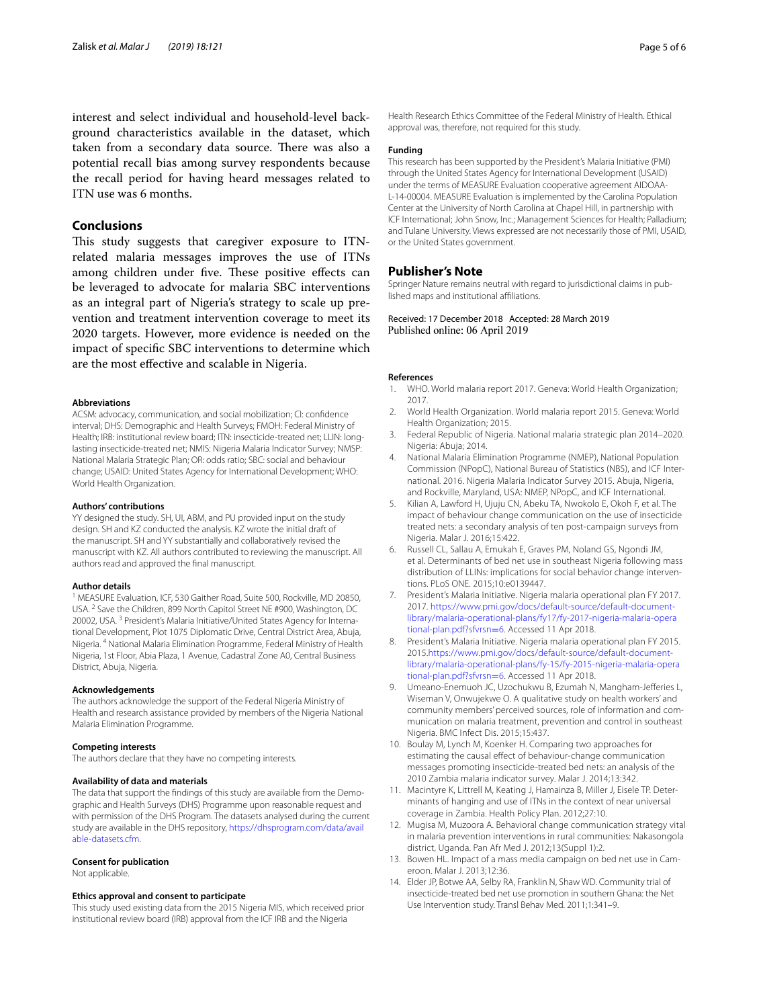interest and select individual and household-level background characteristics available in the dataset, which taken from a secondary data source. There was also a potential recall bias among survey respondents because the recall period for having heard messages related to ITN use was 6 months.

# **Conclusions**

This study suggests that caregiver exposure to ITNrelated malaria messages improves the use of ITNs among children under five. These positive effects can be leveraged to advocate for malaria SBC interventions as an integral part of Nigeria's strategy to scale up prevention and treatment intervention coverage to meet its 2020 targets. However, more evidence is needed on the impact of specifc SBC interventions to determine which are the most efective and scalable in Nigeria.

#### **Abbreviations**

ACSM: advocacy, communication, and social mobilization; CI: confdence interval; DHS: Demographic and Health Surveys; FMOH: Federal Ministry of Health; IRB: institutional review board; ITN: insecticide-treated net; LLIN: longlasting insecticide-treated net; NMIS: Nigeria Malaria Indicator Survey; NMSP: National Malaria Strategic Plan; OR: odds ratio; SBC: social and behaviour change; USAID: United States Agency for International Development; WHO: World Health Organization.

#### **Authors' contributions**

YY designed the study. SH, UI, ABM, and PU provided input on the study design. SH and KZ conducted the analysis. KZ wrote the initial draft of the manuscript. SH and YY substantially and collaboratively revised the manuscript with KZ. All authors contributed to reviewing the manuscript. All authors read and approved the fnal manuscript.

#### **Author details**

<sup>1</sup> MEASURE Evaluation, ICF, 530 Gaither Road, Suite 500, Rockville, MD 20850, USA. <sup>2</sup> Save the Children, 899 North Capitol Street NE #900, Washington, DC 20002, USA. <sup>3</sup> President's Malaria Initiative/United States Agency for International Development, Plot 1075 Diplomatic Drive, Central District Area, Abuja, Nigeria. 4 National Malaria Elimination Programme, Federal Ministry of Health Nigeria, 1st Floor, Abia Plaza, 1 Avenue, Cadastral Zone A0, Central Business District, Abuja, Nigeria.

#### **Acknowledgements**

The authors acknowledge the support of the Federal Nigeria Ministry of Health and research assistance provided by members of the Nigeria National Malaria Elimination Programme.

#### **Competing interests**

The authors declare that they have no competing interests.

#### **Availability of data and materials**

The data that support the fndings of this study are available from the Demographic and Health Surveys (DHS) Programme upon reasonable request and with permission of the DHS Program. The datasets analysed during the current study are available in the DHS repository, [https://dhsprogram.com/data/avail](https://dhsprogram.com/data/available-datasets.cfm) [able-datasets.cfm](https://dhsprogram.com/data/available-datasets.cfm).

#### **Consent for publication**

Not applicable.

#### **Ethics approval and consent to participate**

This study used existing data from the 2015 Nigeria MIS, which received prior institutional review board (IRB) approval from the ICF IRB and the Nigeria

Health Research Ethics Committee of the Federal Ministry of Health. Ethical approval was, therefore, not required for this study.

### **Funding**

This research has been supported by the President's Malaria Initiative (PMI) through the United States Agency for International Development (USAID) under the terms of MEASURE Evaluation cooperative agreement AIDOAA-L-14-00004. MEASURE Evaluation is implemented by the Carolina Population Center at the University of North Carolina at Chapel Hill, in partnership with ICF International; John Snow, Inc.; Management Sciences for Health; Palladium; and Tulane University. Views expressed are not necessarily those of PMI, USAID, or the United States government.

### **Publisher's Note**

Springer Nature remains neutral with regard to jurisdictional claims in published maps and institutional afliations.

Received: 17 December 2018 Accepted: 28 March 2019 Published online: 06 April 2019

#### **References**

- <span id="page-4-0"></span>1. WHO. World malaria report 2017. Geneva: World Health Organization; 2017.
- <span id="page-4-1"></span>2. World Health Organization. World malaria report 2015. Geneva: World Health Organization; 2015.
- <span id="page-4-2"></span>3. Federal Republic of Nigeria. National malaria strategic plan 2014–2020. Nigeria: Abuja; 2014.
- <span id="page-4-3"></span>4. National Malaria Elimination Programme (NMEP), National Population Commission (NPopC), National Bureau of Statistics (NBS), and ICF International. 2016. Nigeria Malaria Indicator Survey 2015. Abuja, Nigeria, and Rockville, Maryland, USA: NMEP, NPopC, and ICF International.
- <span id="page-4-4"></span>Kilian A, Lawford H, Ujuju CN, Abeku TA, Nwokolo E, Okoh F, et al. The impact of behaviour change communication on the use of insecticide treated nets: a secondary analysis of ten post-campaign surveys from Nigeria. Malar J. 2016;15:422.
- <span id="page-4-5"></span>6. Russell CL, Sallau A, Emukah E, Graves PM, Noland GS, Ngondi JM, et al. Determinants of bed net use in southeast Nigeria following mass distribution of LLINs: implications for social behavior change interventions. PLoS ONE. 2015;10:e0139447.
- <span id="page-4-6"></span>7. President's Malaria Initiative. Nigeria malaria operational plan FY 2017. 2017. [https://www.pmi.gov/docs/default-source/default-document](https://www.pmi.gov/docs/default-source/default-document-library/malaria-operational-plans/fy17/fy-2017-nigeria-malaria-operational-plan.pdf?sfvrsn=6)[library/malaria-operational-plans/fy17/fy-2017-nigeria-malaria-opera](https://www.pmi.gov/docs/default-source/default-document-library/malaria-operational-plans/fy17/fy-2017-nigeria-malaria-operational-plan.pdf?sfvrsn=6) [tional-plan.pdf?sfvrsn](https://www.pmi.gov/docs/default-source/default-document-library/malaria-operational-plans/fy17/fy-2017-nigeria-malaria-operational-plan.pdf?sfvrsn=6)=6. Accessed 11 Apr 2018.
- <span id="page-4-12"></span>8. President's Malaria Initiative. Nigeria malaria operational plan FY 2015. 2015[.https://www.pmi.gov/docs/default-source/default-document](https://www.pmi.gov/docs/default-source/default-document-library/malaria-operational-plans/fy-15/fy-2015-nigeria-malaria-operational-plan.pdf?sfvrsn=6)[library/malaria-operational-plans/fy-15/fy-2015-nigeria-malaria-opera](https://www.pmi.gov/docs/default-source/default-document-library/malaria-operational-plans/fy-15/fy-2015-nigeria-malaria-operational-plan.pdf?sfvrsn=6) [tional-plan.pdf?sfvrsn](https://www.pmi.gov/docs/default-source/default-document-library/malaria-operational-plans/fy-15/fy-2015-nigeria-malaria-operational-plan.pdf?sfvrsn=6)=6. Accessed 11 Apr 2018.
- <span id="page-4-7"></span>9. Umeano-Enemuoh JC, Uzochukwu B, Ezumah N, Mangham-Jeferies L, Wiseman V, Onwujekwe O. A qualitative study on health workers' and community members' perceived sources, role of information and communication on malaria treatment, prevention and control in southeast Nigeria. BMC Infect Dis. 2015;15:437.
- <span id="page-4-8"></span>10. Boulay M, Lynch M, Koenker H. Comparing two approaches for estimating the causal efect of behaviour-change communication messages promoting insecticide-treated bed nets: an analysis of the 2010 Zambia malaria indicator survey. Malar J. 2014;13:342.
- <span id="page-4-9"></span>11. Macintyre K, Littrell M, Keating J, Hamainza B, Miller J, Eisele TP. Determinants of hanging and use of ITNs in the context of near universal coverage in Zambia. Health Policy Plan. 2012;27:10.
- 12. Mugisa M, Muzoora A. Behavioral change communication strategy vital in malaria prevention interventions in rural communities: Nakasongola district, Uganda. Pan Afr Med J. 2012;13(Suppl 1):2.
- <span id="page-4-10"></span>13. Bowen HL. Impact of a mass media campaign on bed net use in Cameroon. Malar J. 2013;12:36.
- <span id="page-4-11"></span>14. Elder JP, Botwe AA, Selby RA, Franklin N, Shaw WD. Community trial of insecticide-treated bed net use promotion in southern Ghana: the Net Use Intervention study. Transl Behav Med. 2011;1:341–9.